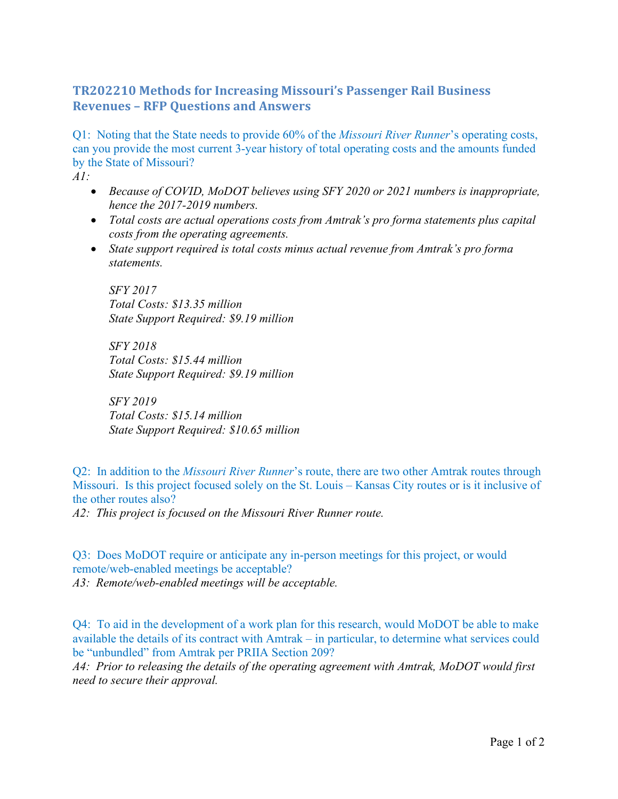## **TR202210 Methods for Increasing Missouri's Passenger Rail Business Revenues – RFP Questions and Answers**

Q1: Noting that the State needs to provide 60% of the *Missouri River Runner*'s operating costs, can you provide the most current 3-year history of total operating costs and the amounts funded by the State of Missouri?

*A1:* 

- *Because of COVID, MoDOT believes using SFY 2020 or 2021 numbers is inappropriate, hence the 2017-2019 numbers.*
- *Total costs are actual operations costs from Amtrak's pro forma statements plus capital costs from the operating agreements.*
- *State support required is total costs minus actual revenue from Amtrak's pro forma statements.*

*SFY 2017 Total Costs: \$13.35 million State Support Required: \$9.19 million* 

*SFY 2018 Total Costs: \$15.44 million State Support Required: \$9.19 million* 

*SFY 2019 Total Costs: \$15.14 million State Support Required: \$10.65 million* 

Q2: In addition to the *Missouri River Runner*'s route, there are two other Amtrak routes through Missouri. Is this project focused solely on the St. Louis – Kansas City routes or is it inclusive of the other routes also?

*A2: This project is focused on the Missouri River Runner route.*

Q3: Does MoDOT require or anticipate any in-person meetings for this project, or would remote/web-enabled meetings be acceptable?

*A3: Remote/web-enabled meetings will be acceptable.* 

Q4: To aid in the development of a work plan for this research, would MoDOT be able to make available the details of its contract with Amtrak – in particular, to determine what services could be "unbundled" from Amtrak per PRIIA Section 209?

*A4: Prior to releasing the details of the operating agreement with Amtrak, MoDOT would first need to secure their approval.*